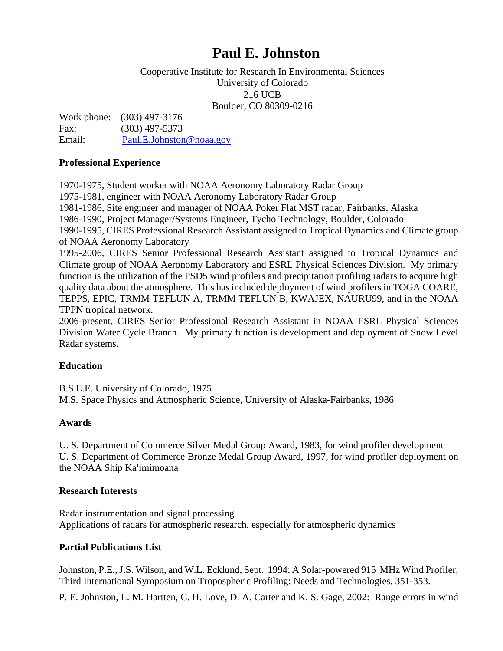# **Paul E. Johnston**

#### Cooperative Institute for Research In Environmental Sciences University of Colorado 216 UCB Boulder, CO 80309-0216

Work phone: (303) 497-3176 Fax: (303) 497-5373 Email: [Paul.E.Johnston@noaa.gov](mailto:Paul.E.Johnston@noaa.gov)

#### **Professional Experience**

1970-1975, Student worker with NOAA Aeronomy Laboratory Radar Group 1975-1981, engineer with NOAA Aeronomy Laboratory Radar Group 1981-1986, Site engineer and manager of NOAA Poker Flat MST radar, Fairbanks, Alaska 1986-1990, Project Manager/Systems Engineer, Tycho Technology, Boulder, Colorado 1990-1995, CIRES Professional Research Assistant assigned to Tropical Dynamics and Climate group of NOAA Aeronomy Laboratory 1995-2006, CIRES Senior Professional Research Assistant assigned to Tropical Dynamics and Climate group of NOAA Aeronomy Laboratory and ESRL Physical Sciences Division. My primary function is the utilization of the PSD5 wind profilers and precipitation profiling radars to acquire high quality data about the atmosphere. This has included deployment of wind profilers in TOGA COARE, TEPPS, EPIC, TRMM TEFLUN A, TRMM TEFLUN B, KWAJEX, NAURU99, and in the NOAA TPPN tropical network. 2006-present, CIRES Senior Professional Research Assistant in NOAA ESRL Physical Sciences

Division Water Cycle Branch. My primary function is development and deployment of Snow Level Radar systems.

## **Education**

B.S.E.E. University of Colorado, 1975 M.S. Space Physics and Atmospheric Science, University of Alaska-Fairbanks, 1986

## **Awards**

U. S. Department of Commerce Silver Medal Group Award, 1983, for wind profiler development U. S. Department of Commerce Bronze Medal Group Award, 1997, for wind profiler deployment on the NOAA Ship Ka'imimoana

## **Research Interests**

Radar instrumentation and signal processing Applications of radars for atmospheric research, especially for atmospheric dynamics

## **Partial Publications List**

Johnston, P.E., J.S. Wilson, and W.L. Ecklund, Sept. 1994: A Solar-powered 915 MHz Wind Profiler, Third International Symposium on Tropospheric Profiling: Needs and Technologies, 351-353.

P. E. Johnston, L. M. Hartten, C. H. Love, D. A. Carter and K. S. Gage, 2002: Range errors in wind